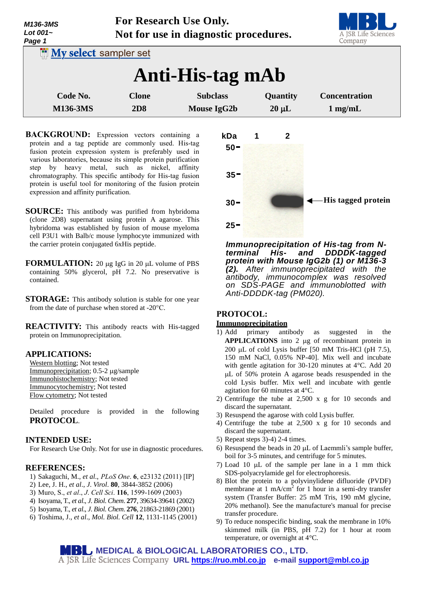| M136-3MS<br>Lot $001-$<br>Page 1  | For Research Use Only.<br>Not for use in diagnostic procedures. |                    |            | A JSR Life Sciences<br>Company |
|-----------------------------------|-----------------------------------------------------------------|--------------------|------------|--------------------------------|
| <b>I'll My select sampler set</b> |                                                                 |                    |            |                                |
|                                   |                                                                 | Anti-His-tag mAb   |            |                                |
| Code No.                          | <b>Clone</b>                                                    | <b>Subclass</b>    | Quantity   | <b>Concentration</b>           |
| <b>M136-3MS</b>                   | <b>2D8</b>                                                      | <b>Mouse IgG2b</b> | $20 \mu L$ | $1$ mg/mL                      |

- **BACKGROUND:** Expression vectors containing a protein and a tag peptide are commonly used. His-tag fusion protein expression system is preferably used in various laboratories, because its simple protein purification step by heavy metal, such as nickel, affinity chromatography. This specific antibody for His-tag fusion protein is useful tool for monitoring of the fusion protein expression and affinity purification.
- **SOURCE:** This antibody was purified from hybridoma (clone 2D8) supernatant using protein A agarose. This hybridoma was established by fusion of mouse myeloma cell P3U1 with Balb/c mouse lymphocyte immunized with the carrier protein conjugated 6xHis peptide.
- **FORMULATION:** 20 µg IgG in 20 µL volume of PBS containing 50% glycerol, pH 7.2. No preservative is contained.
- **STORAGE:** This antibody solution is stable for one year from the date of purchase when stored at -20°C.
- **REACTIVITY:** This antibody reacts with His-tagged protein on Immunoprecipitation.

#### **APPLICATIONS:**

Western blotting; Not tested Immunoprecipitation; 0.5-2 µg/sample Immunohistochemistry; Not tested Immunocytochemistry; Not tested Flow cytometry; Not tested

Detailed procedure is provided in the following **PROTOCOL**.

# **INTENDED USE:**

For Research Use Only. Not for use in diagnostic procedures.

### **REFERENCES:**

- 1) Sakaguchi, M., *et al*., *PLoS One*. **6**, e23132 (2011) [IP]
- 2) Lee, J. H., *et al*., *J*. *Virol*. **80**, 3844-3852 (2006)
- 3) Muro, S., *et al*., *J*. *Cell Sci*. **116**, 1599-1609 (2003)
- 4) Isoyama, T., *et al*., *J*. *Biol*. *Chem*. **277**, 39634-39641 (2002)
- 5) Isoyama, T., *et al*., *J*. *Biol*. *Chem*. **276**, 21863-21869 (2001)
- 6) Toshima, J., *et al*., *Mol. Biol. Cell* **12**, 1131-1145 (2001)



*Immunoprecipitation of His-tag from Nterminal His- and DDDDK-tagged protein with Mouse IgG2b (1) or M136-3 (2). After immunoprecipitated with the antibody, immunocomplex was resolved on SDS-PAGE and immunoblotted with Anti-DDDDK-tag (PM020).*

# **PROTOCOL:**

#### **Immunoprecipitation**

- 1) Add primary antibody as suggested in the **APPLICATIONS** into 2 µg of recombinant protein in 200 µL of cold Lysis buffer  $[50 \text{ mM Tris-HCl (pH 7.5)}$ , 150 mM NaCl, 0.05% NP-40]. Mix well and incubate with gentle agitation for 30-120 minutes at 4°C. Add 20 L of 50% protein A agarose beads resuspended in the cold Lysis buffer. Mix well and incubate with gentle agitation for 60 minutes at 4°C.
- 2) Centrifuge the tube at 2,500 x g for 10 seconds and discard the supernatant.
- 3) Resuspend the agarose with cold Lysis buffer.
- 4) Centrifuge the tube at 2,500 x g for 10 seconds and discard the supernatant.
- 5) Repeat steps 3)-4) 2-4 times.
- 6) Resuspend the beads in 20  $\mu$ L of Laemmli's sample buffer, boil for 3-5 minutes, and centrifuge for 5 minutes.
- 7) Load 10 uL of the sample per lane in a 1 mm thick SDS-polyacrylamide gel for electrophoresis.
- 8) Blot the protein to a polyvinylidene difluoride (PVDF) membrane at 1 mA/cm<sup>2</sup> for 1 hour in a semi-dry transfer system (Transfer Buffer: 25 mM Tris, 190 mM glycine, 20% methanol). See the manufacture's manual for precise transfer procedure.
- 9) To reduce nonspecific binding, soak the membrane in 10% skimmed milk (in PBS, pH 7.2) for 1 hour at room temperature, or overnight at 4°C.

# **MEDICAL & BIOLOGICAL LABORATORIES CO., LTD.**

**URL [https://ruo.mbl.co.jp](https://ruo.mbl.co.jp/) e-mail [support@mbl.co.jp](mailto:support@mbl.co.jp)**